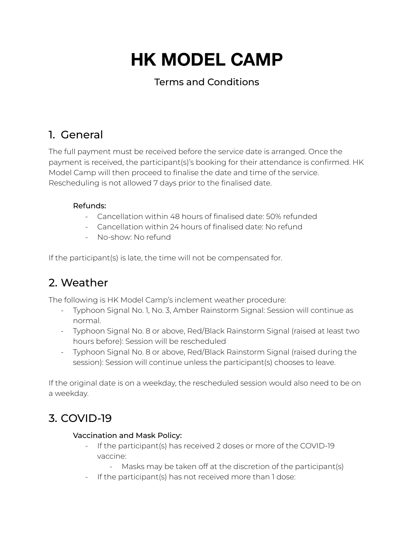# **HK MODEL CAMP**

## Terms and Conditions

# 1. General

The full payment must be received before the service date is arranged. Once the payment is received, the participant(s)'s booking for their attendance is confirmed. HK Model Camp will then proceed to finalise the date and time of the service. Rescheduling is not allowed 7 days prior to the finalised date.

### Refunds:

- Cancellation within 48 hours of finalised date: 50% refunded
- Cancellation within 24 hours of finalised date: No refund
- No-show: No refund

If the participant(s) is late, the time will not be compensated for.

# 2. Weather

The following is HK Model Camp's inclement weather procedure:

- Typhoon Signal No. 1, No. 3, Amber Rainstorm Signal: Session will continue as normal.
- Typhoon Signal No. 8 or above, Red/Black Rainstorm Signal (raised at least two hours before): Session will be rescheduled
- Typhoon Signal No. 8 or above, Red/Black Rainstorm Signal (raised during the session): Session will continue unless the participant(s) chooses to leave.

If the original date is on a weekday, the rescheduled session would also need to be on a weekday.

## 3. COVID-19

#### Vaccination and Mask Policy:

- If the participant(s) has received 2 doses or more of the COVID-19 vaccine:
	- Masks may be taken off at the discretion of the participant(s)
- If the participant(s) has not received more than 1 dose: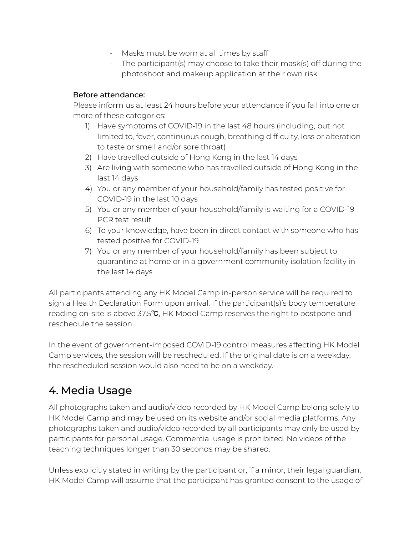- Masks must be worn at all times by staff
- The participant(s) may choose to take their mask(s) off during the photoshoot and makeup application at their own risk

#### Before attendance:

Please inform us at least 24 hours before your attendance if you fall into one or more of these categories:

- 1) Have symptoms of COVID-19 in the last 48 hours (including, but not limited to, fever, continuous cough, breathing difficulty, loss or alteration to taste or smell and/or sore throat)
- 2) Have travelled outside of Hong Kong in the last 14 days
- 3) Are living with someone who has travelled outside of Hong Kong in the last 14 days
- 4) You or any member of your household/family has tested positive for COVID-19 in the last 10 days
- 5) You or any member of your household/family is waiting for a COVID-19 PCR test result
- 6) To your knowledge, have been in direct contact with someone who has tested positive for COVID-19
- 7) You or any member of your household/family has been subject to quarantine at home or in a government community isolation facility in the last 14 days

All participants attending any HK Model Camp in-person service will be required to sign a Health Declaration Form upon arrival. If the participant(s)'s body temperature reading on-site is above 37.5℃, HK Model Camp reserves the right to postpone and reschedule the session.

In the event of government-imposed COVID-19 control measures affecting HK Model Camp services, the session will be rescheduled. If the original date is on a weekday, the rescheduled session would also need to be on a weekday.

# 4. Media Usage

All photographs taken and audio/video recorded by HK Model Camp belong solely to HK Model Camp and may be used on its website and/or social media platforms. Any photographs taken and audio/video recorded by all participants may only be used by participants for personal usage. Commercial usage is prohibited. No videos of the teaching techniques longer than 30 seconds may be shared.

Unless explicitly stated in writing by the participant or, if a minor, their legal guardian, HK Model Camp will assume that the participant has granted consent to the usage of